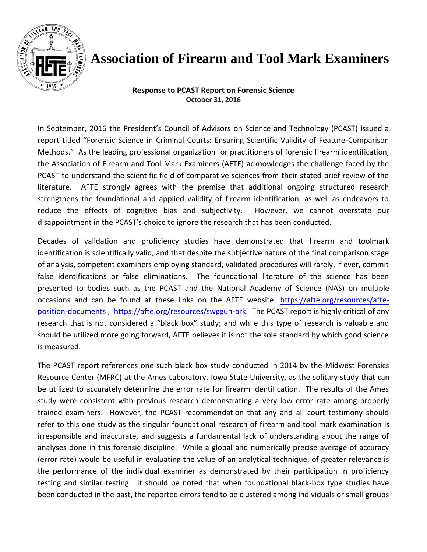

## **Association of Firearm and Tool Mark Examiners**

**Response to PCAST Report on Forensic Science October 31, 2016** 

In September, 2016 the President's Council of Advisors on Science and Technology (PCAST) issued a report titled "Forensic Science in Criminal Courts: Ensuring Scientific Validity of Feature-Comparison Methods." As the leading professional organization for practitioners of forensic firearm identification, the Association of Firearm and Tool Mark Examiners (AFTE) acknowledges the challenge faced by the PCAST to understand the scientific field of comparative sciences from their stated brief review of the literature. AFTE strongly agrees with the premise that additional ongoing structured research strengthens the foundational and applied validity of firearm identification, as well as endeavors to reduce the effects of cognitive bias and subjectivity. However, we cannot overstate our disappointment in the PCAST's choice to ignore the research that has been conducted.

Decades of validation and proficiency studies have demonstrated that firearm and toolmark identification is scientifically valid, and that despite the subjective nature of the final comparison stage of analysis, competent examiners employing standard, validated procedures will rarely, if ever, commit false identifications or false eliminations. The foundational literature of the science has been presented to bodies such as the PCAST and the National Academy of Science (NAS) on multiple occasions and can be found at these links on the AFTE website: [https://afte.org/resources/afte](https://afte.org/resources/afte-position-documents)[position-documents](https://afte.org/resources/afte-position-documents) , [https://afte.org/resources/swggun-ark.](https://afte.org/resources/swggun-ark) The PCAST report is highly critical of any research that is not considered a "black box" study; and while this type of research is valuable and should be utilized more going forward, AFTE believes it is not the sole standard by which good science is measured.

The PCAST report references one such black box study conducted in 2014 by the Midwest Forensics Resource Center (MFRC) at the Ames Laboratory, Iowa State University, as the solitary study that can be utilized to accurately determine the error rate for firearm identification. The results of the Ames study were consistent with previous research demonstrating a very low error rate among properly trained examiners. However, the PCAST recommendation that any and all court testimony should refer to this one study as the singular foundational research of firearm and tool mark examination is irresponsible and inaccurate, and suggests a fundamental lack of understanding about the range of analyses done in this forensic discipline. While a global and numerically precise average of accuracy (error rate) would be useful in evaluating the value of an analytical technique, of greater relevance is the performance of the individual examiner as demonstrated by their participation in proficiency testing and similar testing. It should be noted that when foundational black-box type studies have been conducted in the past, the reported errors tend to be clustered among individuals or small groups